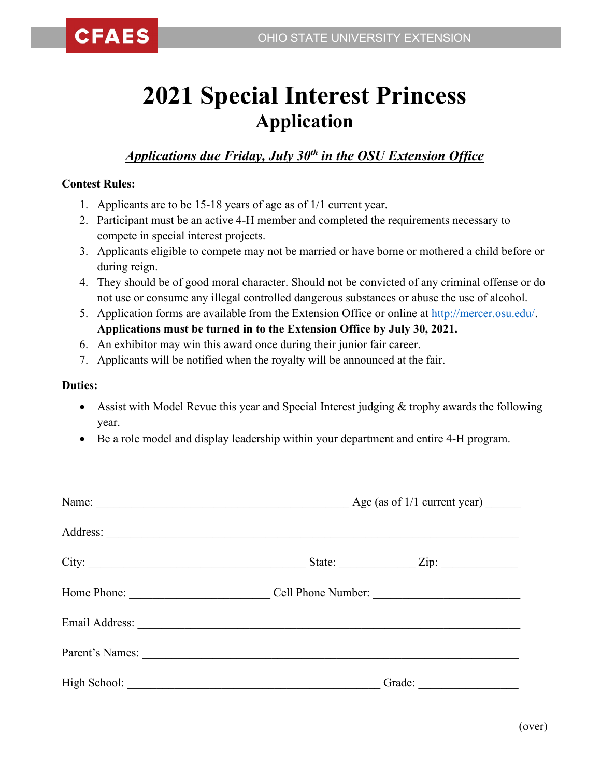## **2021 Special Interest Princess Application**

## *Applications due Friday, July 30th in the OSU Extension Office*

## **Contest Rules:**

- 1. Applicants are to be 15-18 years of age as of 1/1 current year.
- 2. Participant must be an active 4-H member and completed the requirements necessary to compete in special interest projects.
- 3. Applicants eligible to compete may not be married or have borne or mothered a child before or during reign.
- 4. They should be of good moral character. Should not be convicted of any criminal offense or do not use or consume any illegal controlled dangerous substances or abuse the use of alcohol.
- 5. Application forms are available from the Extension Office or online at [http://mercer.osu.edu/.](http://mercer.osu.edu/) **Applications must be turned in to the Extension Office by July 30, 2021.**
- 6. An exhibitor may win this award once during their junior fair career.
- 7. Applicants will be notified when the royalty will be announced at the fair.

## **Duties:**

- Assist with Model Revue this year and Special Interest judging  $&$  trophy awards the following year.
- Be a role model and display leadership within your department and entire 4-H program.

| Name:<br>and the control of the control of the control of the control of the control of the control of the control of the | Age (as of $1/1$ current year) ________ |                    |
|---------------------------------------------------------------------------------------------------------------------------|-----------------------------------------|--------------------|
|                                                                                                                           |                                         |                    |
|                                                                                                                           |                                         | State: <u>Zip:</u> |
| Home Phone:                                                                                                               |                                         | Cell Phone Number: |
|                                                                                                                           |                                         |                    |
| Parent's Names:                                                                                                           |                                         |                    |
|                                                                                                                           | Grade:                                  |                    |